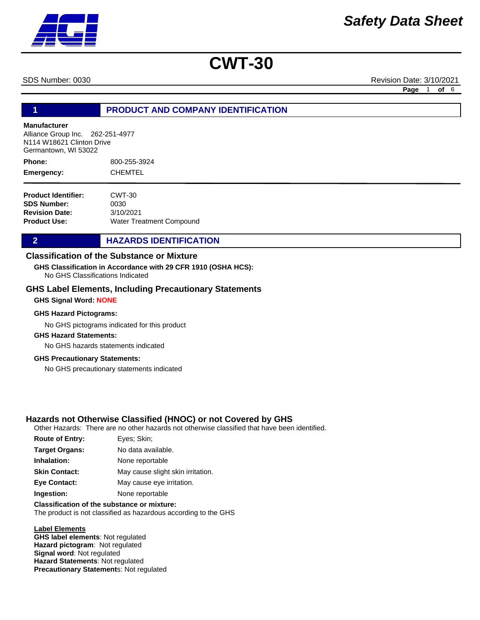SDS Number: 0030 Revision Date: 3/10/2021

**Page** 1 **of** 6

### **1 PRODUCT AND COMPANY IDENTIFICATION**

#### **Manufacturer**

Alliance Group Inc. 262-251-4977 N114 W18621 Clinton Drive Germantown, WI 53022

800-255-3924 CHEMTEL **Phone: Emergency:**

| <b>Product Identifier:</b> | CWT-30                          |
|----------------------------|---------------------------------|
| <b>SDS Number:</b>         | 0030                            |
| <b>Revision Date:</b>      | 3/10/2021                       |
| <b>Product Use:</b>        | <b>Water Treatment Compound</b> |

### **2 HAZARDS IDENTIFICATION**

### **Classification of the Substance or Mixture**

No GHS Classifications Indicated **GHS Classification in Accordance with 29 CFR 1910 (OSHA HCS):**

#### **GHS Label Elements, Including Precautionary Statements**

#### **GHS Signal Word: NONE**

#### **GHS Hazard Pictograms:**

No GHS pictograms indicated for this product

#### **GHS Hazard Statements:**

No GHS hazards statements indicated

#### **GHS Precautionary Statements:**

No GHS precautionary statements indicated

### **Hazards not Otherwise Classified (HNOC) or not Covered by GHS**

Other Hazards: There are no other hazards not otherwise classified that have been identified.

| <b>Route of Entry:</b> | Eyes: Skin;                       |
|------------------------|-----------------------------------|
| <b>Target Organs:</b>  | No data available.                |
| Inhalation:            | None reportable                   |
| <b>Skin Contact:</b>   | May cause slight skin irritation. |
| <b>Eye Contact:</b>    | May cause eye irritation.         |
| Ingestion:             | None reportable                   |
|                        |                                   |

## **Classification of the substance or mixture:**

The product is not classified as hazardous according to the GHS

#### **Label Elements**

**GHS label elements**: Not regulated **Hazard pictogram**: Not regulated **Signal word**: Not regulated **Hazard Statements**: Not regulated **Precautionary Statement**s: Not regulated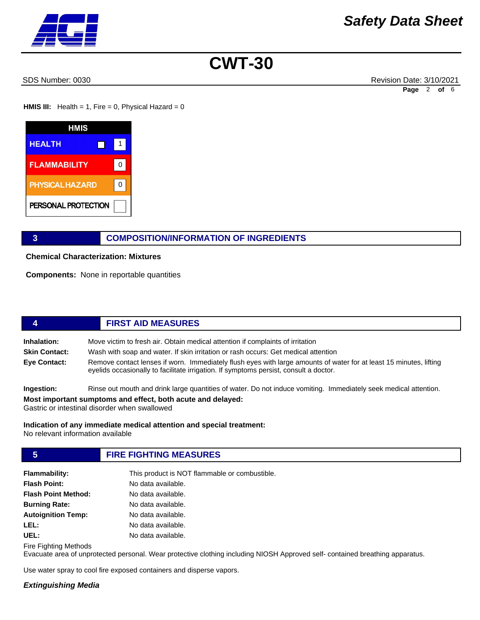SDS Number: 0030 Revision Date: 3/10/2021 **Page** 2 **of** 6

**HMIS III:** Health = 1, Fire = 0, Physical Hazard = 0



### **3 COMPOSITION/INFORMATION OF INGREDIENTS**

**Chemical Characterization: Mixtures** 

**Components:** None in reportable quantities

# **4 FIRST AID MEASURES**

**Inhalation:** Move victim to fresh air. Obtain medical attention if complaints of irritation **Skin Contact:** Wash with soap and water. If skin irritation or rash occurs: Get medical attention **Eye Contact:** Remove contact lenses if worn. Immediately flush eyes with large amounts of water for at least 15 minutes, lifting eyelids occasionally to facilitate irrigation. If symptoms persist, consult a doctor.

**Ingestion:** Rinse out mouth and drink large quantities of water. Do not induce vomiting. Immediately seek medical attention.

**Most important sumptoms and effect, both acute and delayed:**

Gastric or intestinal disorder when swallowed

**Indication of any immediate medical attention and special treatment:** No relevant information available

# **5 FIRE FIGHTING MEASURES**

| <b>Flammability:</b>       | This product is NOT flammable or combustible. |
|----------------------------|-----------------------------------------------|
| <b>Flash Point:</b>        | No data available.                            |
| <b>Flash Point Method:</b> | No data available.                            |
| <b>Burning Rate:</b>       | No data available.                            |
| <b>Autoignition Temp:</b>  | No data available.                            |
| LEL:                       | No data available.                            |
| UEL:                       | No data available.                            |

Fire Fighting Methods

Evacuate area of unprotected personal. Wear protective clothing including NIOSH Approved self- contained breathing apparatus.

Use water spray to cool fire exposed containers and disperse vapors.

#### *Extinguishing Media*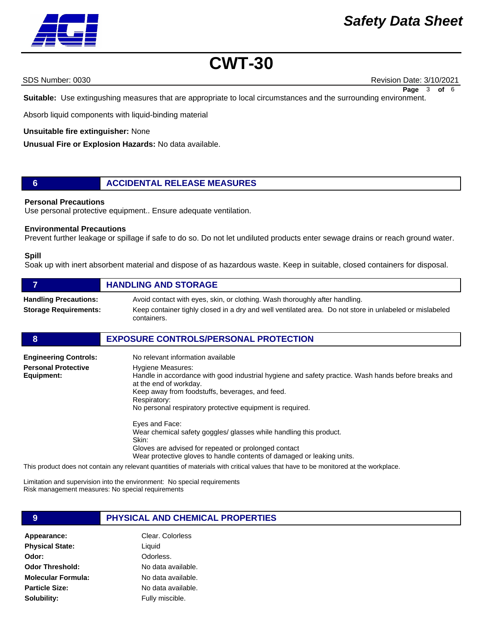

SDS Number: 0030 Revision Date: 3/10/2021 **Page** 3 **of** 6

**Suitable:** Use extingushing measures that are appropriate to local circumstances and the surrounding environment.

Absorb liquid components with liquid-binding material

#### **Unsuitable fire extinguisher:** None

**Unusual Fire or Explosion Hazards:** No data available.

### **6 ACCIDENTAL RELEASE MEASURES**

#### **Personal Precautions**

Use personal protective equipment.. Ensure adequate ventilation.

#### **Environmental Precautions**

Prevent further leakage or spillage if safe to do so. Do not let undiluted products enter sewage drains or reach ground water.

#### **Spill**

Soak up with inert absorbent material and dispose of as hazardous waste. Keep in suitable, closed containers for disposal.

|                                                              | <b>HANDLING AND STORAGE</b>                                                                                                                                                                           |
|--------------------------------------------------------------|-------------------------------------------------------------------------------------------------------------------------------------------------------------------------------------------------------|
| <b>Handling Precautions:</b><br><b>Storage Requirements:</b> | Avoid contact with eyes, skin, or clothing. Wash thoroughly after handling.<br>Keep container tighly closed in a dry and well ventilated area. Do not store in unlabeled or mislabeled<br>containers. |

#### **8 EXPOSURE CONTROLS/PERSONAL PROTECTION**

| <b>Engineering Controls:</b>             | No relevant information available                                                                                                                                                                                                                                                  |
|------------------------------------------|------------------------------------------------------------------------------------------------------------------------------------------------------------------------------------------------------------------------------------------------------------------------------------|
| <b>Personal Protective</b><br>Equipment: | Hygiene Measures:<br>Handle in accordance with good industrial hygiene and safety practice. Wash hands before breaks and<br>at the end of workday.<br>Keep away from foodstuffs, beverages, and feed.<br>Respiratory:<br>No personal respiratory protective equipment is required. |
|                                          | Eyes and Face:<br>Wear chemical safety goggles/ glasses while handling this product.<br>Skin:<br>Gloves are advised for repeated or prolonged contact<br>Wear protective gloves to handle contents of damaged or leaking units.                                                    |

This product does not contain any relevant quantities of materials with critical values that have to be monitored at the workplace.

Limitation and supervision into the environment: No special requirements Risk management measures: No special requirements

## **9 PHYSICAL AND CHEMICAL PROPERTIES**

Appearance: Clear. Colorless **Physical State: Odor: Odor Threshold: Molecular Formula: Particle Size: Solubility:**

Liquid Odorless. No data available. No data available.

> No data available. Fully miscible.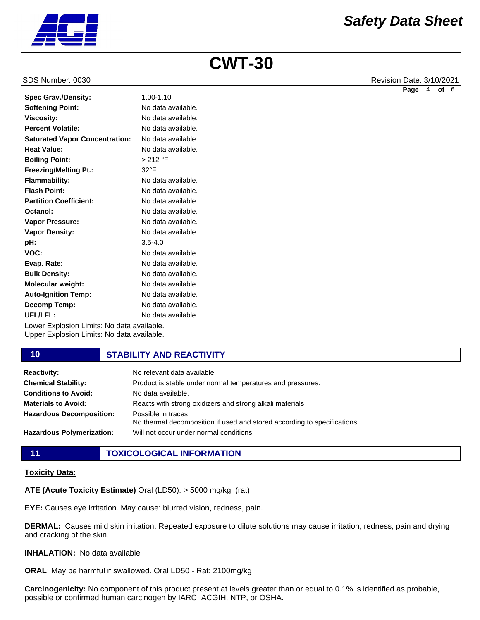

#### SDS Number: 0030 Revision Date: 3/10/2021

|                                       |                    | Page | 4 | of 6 |  |
|---------------------------------------|--------------------|------|---|------|--|
| <b>Spec Grav./Density:</b>            | $1.00 - 1.10$      |      |   |      |  |
| <b>Softening Point:</b>               | No data available. |      |   |      |  |
| <b>Viscosity:</b>                     | No data available. |      |   |      |  |
| <b>Percent Volatile:</b>              | No data available. |      |   |      |  |
| <b>Saturated Vapor Concentration:</b> | No data available. |      |   |      |  |
| <b>Heat Value:</b>                    | No data available. |      |   |      |  |
| <b>Boiling Point:</b>                 | > 212 °F           |      |   |      |  |
| <b>Freezing/Melting Pt.:</b>          | $32^{\circ}$ F     |      |   |      |  |
| <b>Flammability:</b>                  | No data available. |      |   |      |  |
| <b>Flash Point:</b>                   | No data available. |      |   |      |  |
| <b>Partition Coefficient:</b>         | No data available. |      |   |      |  |
| Octanol:                              | No data available. |      |   |      |  |
| <b>Vapor Pressure:</b>                | No data available. |      |   |      |  |
| <b>Vapor Density:</b>                 | No data available. |      |   |      |  |
| pH:                                   | $3.5 - 4.0$        |      |   |      |  |
| VOC:                                  | No data available. |      |   |      |  |
| Evap. Rate:                           | No data available. |      |   |      |  |
| <b>Bulk Density:</b>                  | No data available. |      |   |      |  |
| Molecular weight:                     | No data available. |      |   |      |  |
| <b>Auto-Ignition Temp:</b>            | No data available. |      |   |      |  |
| <b>Decomp Temp:</b>                   | No data available. |      |   |      |  |

Lower Explosion Limits: No data available. Upper Explosion Limits: No data available. **UFL/LFL:** No data available.

#### **10 STABILITY AND REACTIVITY**

| <b>Reactivity:</b>               | No relevant data available.                                                                     |
|----------------------------------|-------------------------------------------------------------------------------------------------|
| <b>Chemical Stability:</b>       | Product is stable under normal temperatures and pressures.                                      |
| <b>Conditions to Avoid:</b>      | No data available.                                                                              |
| <b>Materials to Avoid:</b>       | Reacts with strong oxidizers and strong alkali materials                                        |
| <b>Hazardous Decomposition:</b>  | Possible in traces.<br>No thermal decomposition if used and stored according to specifications. |
| <b>Hazardous Polymerization:</b> | Will not occur under normal conditions.                                                         |

**11 TOXICOLOGICAL INFORMATION**

#### **Toxicity Data:**

**ATE (Acute Toxicity Estimate)** Oral (LD50): > 5000 mg/kg (rat)

**EYE:** Causes eye irritation. May cause: blurred vision, redness, pain.

**DERMAL:** Causes mild skin irritation. Repeated exposure to dilute solutions may cause irritation, redness, pain and drying and cracking of the skin.

#### **INHALATION:** No data available

**ORAL**: May be harmful if swallowed. Oral LD50 - Rat: 2100mg/kg

**Carcinogenicity:** No component of this product present at levels greater than or equal to 0.1% is identified as probable, possible or confirmed human carcinogen by IARC, ACGIH, NTP, or OSHA.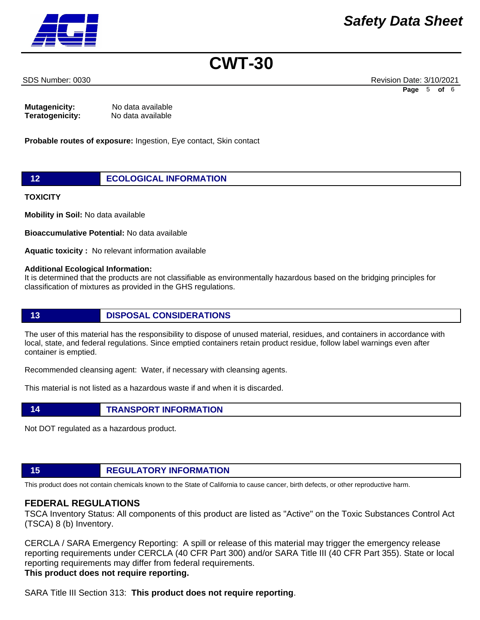SDS Number: 0030 Revision Date: 3/10/2021 **Page** 5 **of** 6

#### **Mutagenicity:** No data available **Teratogenicity:** No data available

**Probable routes of exposure:** Ingestion, Eye contact, Skin contact

## **12 ECOLOGICAL INFORMATION**

**TOXICITY** 

**Mobility in Soil:** No data available

**Bioaccumulative Potential:** No data available

**Aquatic toxicity :** No relevant information available

#### **Additional Ecological Information:**

It is determined that the products are not classifiable as environmentally hazardous based on the bridging principles for classification of mixtures as provided in the GHS regulations.

### **13 DISPOSAL CONSIDERATIONS**

The user of this material has the responsibility to dispose of unused material, residues, and containers in accordance with local, state, and federal regulations. Since emptied containers retain product residue, follow label warnings even after container is emptied.

Recommended cleansing agent: Water, if necessary with cleansing agents.

This material is not listed as a hazardous waste if and when it is discarded.

Not DOT regulated as a hazardous product.

# **15 REGULATORY INFORMATION**

**14 TRANSPORT INFORMATION**

This product does not contain chemicals known to the State of California to cause cancer, birth defects, or other reproductive harm.

# **FEDERAL REGULATIONS**

TSCA Inventory Status: All components of this product are listed as "Active" on the Toxic Substances Control Act (TSCA) 8 (b) Inventory.

CERCLA / SARA Emergency Reporting: A spill or release of this material may trigger the emergency release reporting requirements under CERCLA (40 CFR Part 300) and/or SARA Title III (40 CFR Part 355). State or local reporting requirements may differ from federal requirements. **This product does not require reporting.**

SARA Title III Section 313: **This product does not require reporting**.